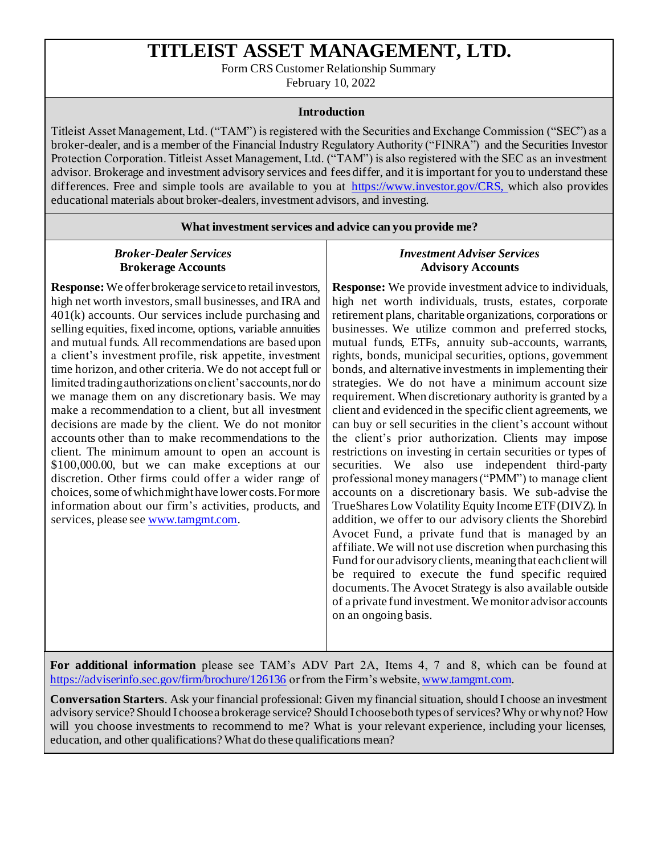# **TITLEIST ASSET MANAGEMENT, LTD.**

Form CRS Customer Relationship Summary

February 10, 2022

#### **Introduction**

Titleist Asset Management, Ltd. ("TAM") is registered with the Securities and Exchange Commission ("SEC") as a broker-dealer, and is a member of the Financial Industry Regulatory Authority ("FINRA") and the Securities Investor Protection Corporation. Titleist Asset Management, Ltd. ("TAM") is also registered with the SEC as an investment advisor. Brokerage and investment advisory services and fees differ, and it is important for you to understand these differences. Free and simple tools are available to you at [https://www.investor.gov/CRS, w](https://www.investor.gov/CRS,)hich also provides educational materials about broker-dealers, investment advisors, and investing.

#### **What investment services and advice can you provide me?**

## *Broker-Dealer Services* **Brokerage Accounts**

**Response:** We offer brokerage service to retail investors, high net worth investors, small businesses, and IRA and 401(k) accounts. Our services include purchasing and selling equities, fixed income, options, variable annuities and mutual funds. All recommendations are based upon a client's investment profile, risk appetite, investment time horizon, and other criteria. We do not accept full or limited trading authorizations on client's accounts, nor do we manage them on any discretionary basis. We may make a recommendation to a client, but all investment decisions are made by the client. We do not monitor accounts other than to make recommendations to the client. The minimum amount to open an account is \$100,000.00, but we can make exceptions at our discretion. Other firms could offer a wider range of choices, some of which might have lower costs. For more information about our firm's activities, products, and services, please se[e www.tamgmt.com](http://www.tamgmt.com/).

## *Investment Adviser Services* **Advisory Accounts**

**Response:** We provide investment advice to individuals, high net worth individuals, trusts, estates, corporate retirement plans, charitable organizations, corporations or businesses. We utilize common and preferred stocks, mutual funds, ETFs, annuity sub-accounts, warrants, rights, bonds, municipal securities, options, government bonds, and alternative investments in implementing their strategies. We do not have a minimum account size requirement. When discretionary authority is granted by a client and evidenced in the specific client agreements, we can buy or sell securities in the client's account without the client's prior authorization. Clients may impose restrictions on investing in certain securities or types of securities. We also use independent third-party professional money managers ("PMM") to manage client accounts on a discretionary basis. We sub-advise the TrueShares Low Volatility Equity Income ETF (DIVZ). In addition, we offer to our advisory clients the Shorebird Avocet Fund, a private fund that is managed by an affiliate. We will not use discretion when purchasing this Fund for our advisory clients, meaning that each client will be required to execute the fund specific required documents. The Avocet Strategy is also available outside of a private fund investment. We monitor advisor accounts on an ongoing basis.

**For additional information** please see TAM's ADV Part 2A, Items 4, 7 and 8, which can be found at <https://adviserinfo.sec.gov/firm/brochure/126136> or from the Firm's website[, www.tamgmt.com](http://www.tamgmt.com/).

**Conversation Starters**. Ask your financial professional: Given my financial situation, should I choose an investment advisory service? Should I choose a brokerage service? Should I choose both types of services? Why or why not? How will you choose investments to recommend to me? What is your relevant experience, including your licenses, education, and other qualifications? What do these qualifications mean?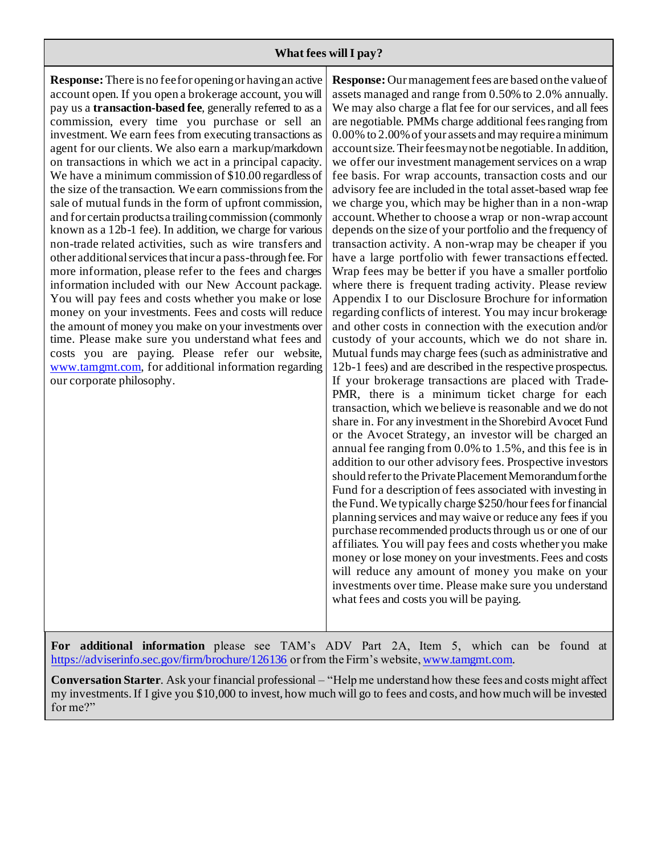## **What fees will I pay?**

**Response:** There is no fee for opening or having an active account open. If you open a brokerage account, you will pay us a **transaction-based fee**, generally referred to as a commission, every time you purchase or sell an investment. We earn fees from executing transactions as agent for our clients. We also earn a markup/markdown on transactions in which we act in a principal capacity. We have a minimum commission of \$10.00 regardless of the size of the transaction. We earn commissions from the sale of mutual funds in the form of upfront commission, and for certain products a trailing commission (commonly known as a 12b-1 fee). In addition, we charge for various non-trade related activities, such as wire transfers and other additional services that incur a pass-through fee. For more information, please refer to the fees and charges information included with our New Account package. You will pay fees and costs whether you make or lose money on your investments. Fees and costs will reduce the amount of money you make on your investments over time. Please make sure you understand what fees and costs you are paying. Please refer our website, [www.tamgmt.com, f](http://www.tamgmt.com/)or additional information regarding our corporate philosophy.

**Response:** Our management fees are based on the value of assets managed and range from 0.50% to 2.0% annually. We may also charge a flat fee for our services, and all fees are negotiable. PMMs charge additional fees ranging from 0.00% to 2.00% of your assets and may require a minimum account size. Their fees may not be negotiable. In addition, we offer our investment management services on a wrap fee basis. For wrap accounts, transaction costs and our advisory fee are included in the total asset-based wrap fee we charge you, which may be higher than in a non-wrap account. Whether to choose a wrap or non-wrap account depends on the size of your portfolio and the frequency of transaction activity. A non-wrap may be cheaper if you have a large portfolio with fewer transactions effected. Wrap fees may be better if you have a smaller portfolio where there is frequent trading activity. Please review Appendix I to our Disclosure Brochure for information regarding conflicts of interest. You may incur brokerage and other costs in connection with the execution and/or custody of your accounts, which we do not share in. Mutual funds may charge fees (such as administrative and 12b-1 fees) and are described in the respective prospectus. If your brokerage transactions are placed with Trade-PMR, there is a minimum ticket charge for each transaction, which we believe is reasonable and we do not share in. For any investment in the Shorebird Avocet Fund or the Avocet Strategy, an investor will be charged an annual fee ranging from 0.0% to 1.5%, and this fee is in addition to our other advisory fees. Prospective investors should refer to the Private Placement Memorandum for the Fund for a description of fees associated with investing in the Fund. We typically charge \$250/hour fees for financial planning services and may waive or reduce any fees if you purchase recommended products through us or one of our affiliates. You will pay fees and costs whether you make money or lose money on your investments. Fees and costs will reduce any amount of money you make on your investments over time. Please make sure you understand what fees and costs you will be paying.

**For additional information** please see TAM's ADV Part 2A, Item 5, which can be found at <https://adviserinfo.sec.gov/firm/brochure/126136> or from the Firm's website[, www.tamgmt.com](http://www.tamgmt.com/).

**Conversation Starter**. Ask your financial professional – "Help me understand how these fees and costs might affect my investments. If I give you \$10,000 to invest, how much will go to fees and costs, and how much will be invested for me?"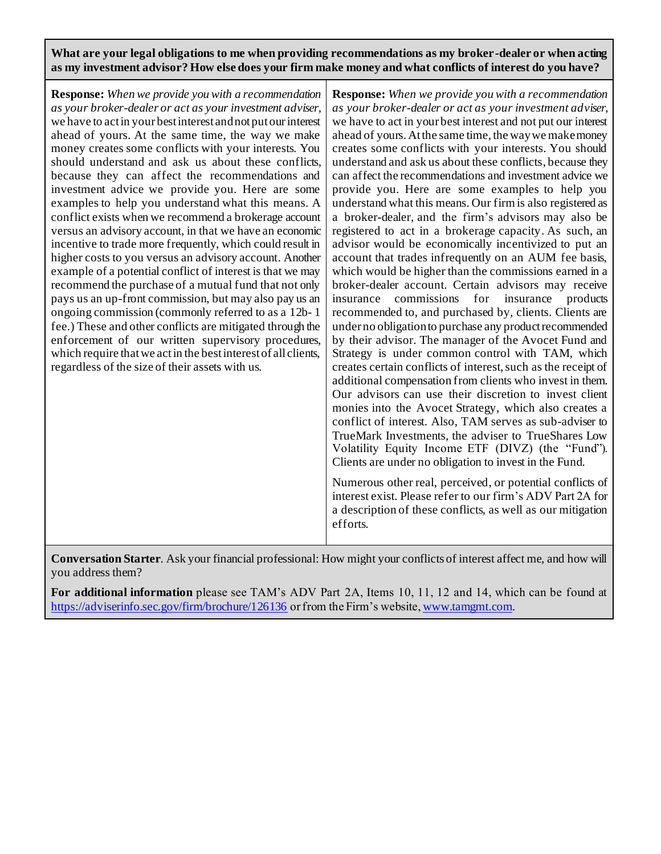**What are your legal obligations to me when providing recommendations as my broker-dealer or when acting as my investment advisor? How else does your firm make money and what conflicts of interest do you have?**

**Response:** *When we provide you with a recommendation as your broker-dealer or act as your investment adviser*, we have to act in your best interest and not put our interest ahead of yours. At the same time, the way we make money creates some conflicts with your interests. You should understand and ask us about these conflicts, because they can affect the recommendations and investment advice we provide you. Here are some examples to help you understand what this means. A conflict exists when we recommend a brokerage account versus an advisory account, in that we have an economic incentive to trade more frequently, which could result in higher costs to you versus an advisory account. Another example of a potential conflict of interest is that we may recommend the purchase of a mutual fund that not only pays us an up-front commission, but may also pay us an ongoing commission (commonly referred to as a 12b- 1 fee.) These and other conflicts are mitigated through the enforcement of our written supervisory procedures, which require that we act in the best interest of all clients, regardless of the size of their assets with us.

**Response:** *When we provide you with a recommendation as your broker-dealer or act as your investment adviser*, we have to act in your best interest and not put our interest ahead of yours. At the same time, the way we make money creates some conflicts with your interests. You should understand and ask us about these conflicts, because they can affect the recommendations and investment advice we provide you. Here are some examples to help you understand what this means. Our firm is also registered as a broker-dealer, and the firm's advisors may also be registered to act in a brokerage capacity. As such, an advisor would be economically incentivized to put an account that trades infrequently on an AUM fee basis, which would be higher than the commissions earned in a broker-dealer account. Certain advisors may receive insurance commissions for insurance products recommended to, and purchased by, clients. Clients are under no obligation to purchase any product recommended by their advisor. The manager of the Avocet Fund and Strategy is under common control with TAM, which creates certain conflicts of interest, such as the receipt of additional compensation from clients who invest in them. Our advisors can use their discretion to invest client monies into the Avocet Strategy, which also creates a conflict of interest. Also, TAM serves as sub-adviser to TrueMark Investments, the adviser to TrueShares Low Volatility Equity Income ETF (DIVZ) (the "Fund"). Clients are under no obligation to invest in the Fund.

Numerous other real, perceived, or potential conflicts of interest exist. Please refer to our firm's ADV Part 2A for a description of these conflicts, as well as our mitigation efforts.

**Conversation Starter**. Ask your financial professional: How might your conflicts of interest affect me, and how will you address them?

**For additional information** please see TAM's ADV Part 2A, Items 10, 11, 12 and 14, which can be found at <https://adviserinfo.sec.gov/firm/brochure/126136> or from the Firm's website[, www.tamgmt.com.](http://www.tamgmt.com/)